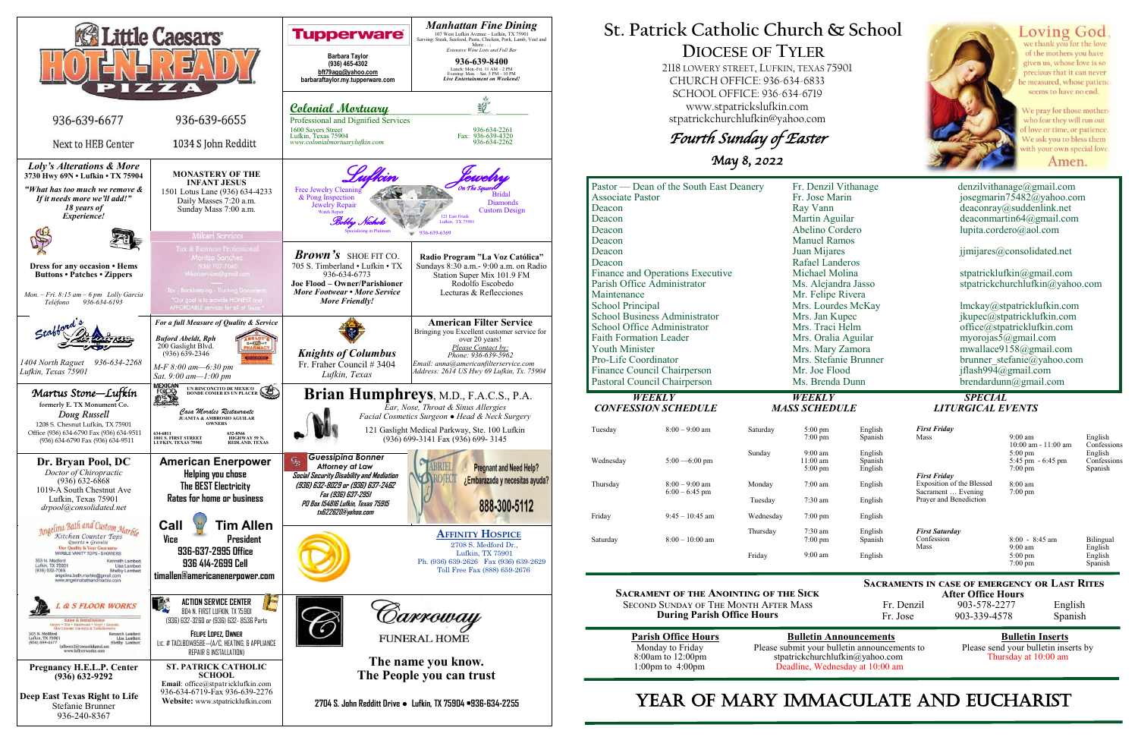

**After Office Hours**<br>Fr. Denzil 903-578-2277 903-578-2277 English Fr. Jose 903-339-4578 Spanish

## **St. Patrick Catholic Church & School DIOCESE OF TYLER**

 2118 LOWERY STREET, LUFKIN, TEXAS 75901 CHURCH OFFICE: 936-634-6833 SCHOOL OFFICE: 936-634-6719 www.stpatrickslufkin.com stpatrickchurchlufkin@yahoo.com

Fourth Sunday of Easter

May 8, 2022

|                                      | Pastor — Dean of the South East Deanery |                    | Fr. Denzil Vithanage                   |                    | denzilvithan                |
|--------------------------------------|-----------------------------------------|--------------------|----------------------------------------|--------------------|-----------------------------|
| Associate Pastor                     |                                         |                    | Fr. Jose Marin                         |                    | josegmarin'                 |
| Deacon                               |                                         |                    | Ray Vann                               |                    | deaconray( <i>o</i> )       |
| Deacon                               |                                         |                    | Martin Aguilar                         |                    | deaconmart                  |
| Deacon                               |                                         |                    | Abelino Cordero                        |                    | lupita.corde                |
| Deacon                               |                                         |                    | <b>Manuel Ramos</b>                    |                    |                             |
| Deacon                               |                                         |                    | Juan Mijares                           |                    | $j$ jmijares $@$            |
| Deacon                               |                                         | Rafael Landeros    |                                        |                    |                             |
|                                      | Finance and Operations Executive        |                    | Michael Molina                         |                    | stpatrickluf                |
|                                      | Parish Office Administrator             |                    | Ms. Alejandra Jasso                    |                    | stpatrickchu                |
| Maintenance                          |                                         | Mr. Felipe Rivera  |                                        |                    |                             |
| <b>School Principal</b>              |                                         | Mrs. Lourdes McKay |                                        | lmckay@st          |                             |
| <b>School Business Administrator</b> |                                         | Mrs. Jan Kupec     |                                        | jkupec@stp         |                             |
| School Office Administrator          |                                         | Mrs. Traci Helm    |                                        | office@stpa        |                             |
| <b>Faith Formation Leader</b>        |                                         |                    | Mrs. Oralia Aguilar                    |                    | myorojas5(                  |
| <b>Youth Minister</b>                |                                         |                    | Mrs. Mary Zamora                       |                    | mwallace91                  |
| Pro-Life Coordinator                 |                                         |                    | Mrs. Stefanie Brunner                  |                    | brunner ste                 |
|                                      | Finance Council Chairperson             |                    | Mr. Joe Flood                          |                    | jflash994 $(a)$             |
|                                      | Pastoral Council Chairperson            |                    | Ms. Brenda Dunn                        |                    | brendardun                  |
|                                      | <b>WEEKLY</b>                           |                    | <b>WEEKLY</b>                          |                    | <b>SPECIAL</b>              |
|                                      | <b>CONFESSION SCHEDULE</b>              |                    | <b>MASS SCHEDULE</b>                   |                    | <b>LITURGICAL E</b>         |
|                                      |                                         |                    |                                        |                    |                             |
| Tuesday                              | $8:00 - 9:00$ am                        | Saturday           | $5:00 \text{ pm}$<br>$7:00 \text{ pm}$ | English<br>Spanish | <b>First Friday</b><br>Mass |
|                                      |                                         |                    |                                        |                    |                             |
|                                      |                                         | Sunday             | $9:00$ am                              | English            |                             |
| Wednesday                            | $5:00 - 6:00$ pm                        |                    | $11:00$ am<br>$5:00 \text{ pm}$        | Spanish<br>English |                             |
|                                      |                                         |                    |                                        |                    | <b>First Friday</b>         |
| Thursday                             | $8:00 - 9:00$ am                        | Monday             | $7:00$ am                              | English            | Exposition of the Blessed   |
|                                      | $6:00 - 6:45$ pm                        |                    |                                        |                    | Sacrament  Evening          |

**Sacrament of the Anointing of the Sick** Second Sunday of The Month After Mass **During Parish Office Hours** 

| <b>Parish Office Hours</b> |
|----------------------------|
| Monday to Friday           |
| 8:00am to 12:00pm          |
| 1:00pm to $4:00$ pm        |

**<u>Bulletin Announcements</u>**<br> **Please send your bulletin inserts** by<br> **Please send your bulletin inserts** by Please submit your bulletin announcements to stpatrickchurchlufkin@yahoo.com Thursday at 10:00 am Deadline, Wednesday at 10:00 am

# YEAR OF MARY IMMACULATE AND EUCHARIST



Loving God we thank you for the love of the mothers you have given us, whose love is so precious that it can never e measured, whose patiend seems to have no end.

Ve pray for those mothers vho fear they will run out love or time, or patience We ask you to bless them vith your own special love

Amen.

 $denzilvithanage@gmail.com$ josegmarin 75482@yahoo.com  $de a con ray @sudden link.net$  $de a commartin 64@gmail.com$ lupita.cordero@aol.com

jimijares@consolidated.net

stpatricklufkin@gmail.com stpatrickchurchlufkin@yahoo.com

lmckay@stpatricklufkin.com jkupec $@$ stpatricklufkin.com office@stpatricklufkin.com myorojas $\bar{5}$ @gmail.com  $mwallace9158@gmail.com$ brunner stefanie@yahoo.com jflash $994@g$ mail.com  $brendardunn@gmail.com$ 

# *CONFERENTS CONFERENTS*

**Sacraments in case of emergency or Last Rites** 

|          |                   |           | $5:00 \text{ pm}$              |
|----------|-------------------|-----------|--------------------------------|
| Thursday | $8:00 - 9:00$ am  | Monday    | $7:00$ am                      |
|          | $6:00 - 6:45$ pm  | Tuesday   | $7:30$ am                      |
| Friday   | $9:45 - 10:45$ am | Wednesday | $7:00 \text{ pm}$              |
| Saturday | $8:00-10:00$ am   | Thursday  | $7:30$ am<br>$7:00 \text{ pm}$ |
|          |                   | Friday    | $9:00$ am                      |

| English<br>Spanish            | <b>First Friday</b><br>Mass                  | $9:00 \text{ am}$<br>$10:00$ am - $11:00$ am                 | English<br>Confessions            |
|-------------------------------|----------------------------------------------|--------------------------------------------------------------|-----------------------------------|
| English<br>Spanish<br>English | <b>First Friday</b>                          | $5:00 \text{ pm}$<br>5:45 pm $-6:45$ pm<br>$7:00 \text{ pm}$ | English<br>Confessions<br>Spanish |
| English                       | <b>Exposition of the Blessed</b>             | $8:00 \text{ am}$                                            |                                   |
| English                       | Sacrament  Evening<br>Prayer and Benediction | $7:00 \text{ pm}$                                            |                                   |
| English                       |                                              |                                                              |                                   |
| English<br>Spanish            | <b>First Saturday</b><br>Confession<br>Mass  | $8:00 - 8:45$ am<br>$9:00$ am                                | Bilingual<br>English              |
| English                       |                                              | $5:00 \text{ pm}$<br>$7:00 \text{ pm}$                       | English<br>Spanish                |